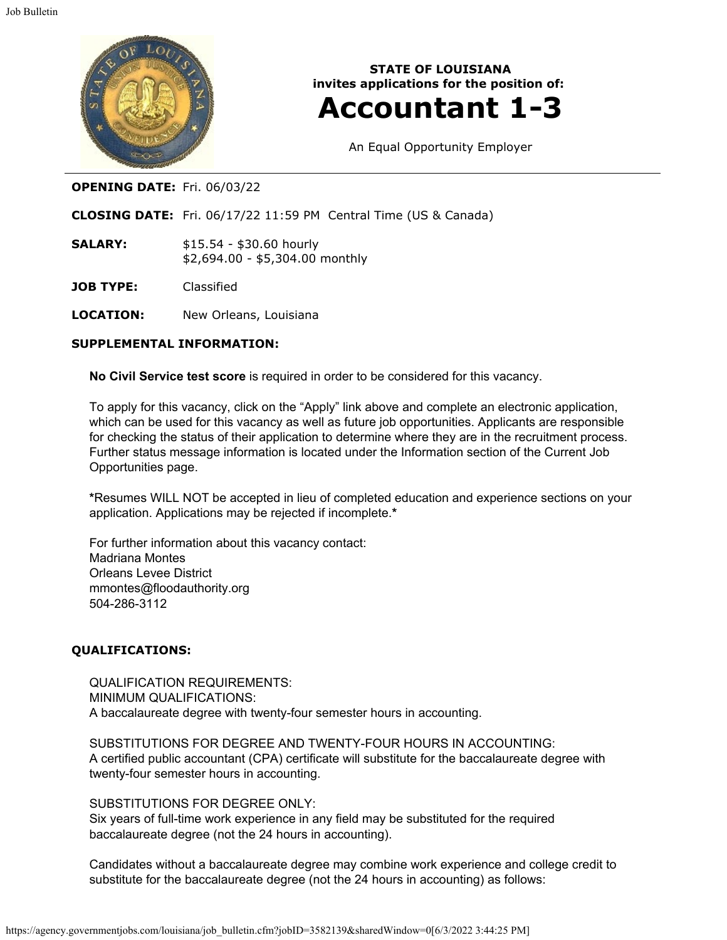

**STATE OF LOUISIANA invites applications for the position of:**

# **Accountant 1-3**

An Equal Opportunity Employer

## **OPENING DATE:** Fri. 06/03/22

**CLOSING DATE:** Fri. 06/17/22 11:59 PM Central Time (US & Canada)

**SALARY:** \$15.54 - \$30.60 hourly \$2,694.00 - \$5,304.00 monthly

**JOB TYPE:** Classified

**LOCATION:** New Orleans, Louisiana

#### **SUPPLEMENTAL INFORMATION:**

**No Civil Service test score** is required in order to be considered for this vacancy.

To apply for this vacancy, click on the "Apply" link above and complete an electronic application, which can be used for this vacancy as well as future job opportunities. Applicants are responsible for checking the status of their application to determine where they are in the recruitment process. Further status message information is located under the Information section of the Current Job Opportunities page.

**\***Resumes WILL NOT be accepted in lieu of completed education and experience sections on your application. Applications may be rejected if incomplete.**\***

For further information about this vacancy contact: Madriana Montes Orleans Levee District mmontes@floodauthority.org 504-286-3112

#### **QUALIFICATIONS:**

QUALIFICATION REQUIREMENTS: MINIMUM QUALIFICATIONS: A baccalaureate degree with twenty-four semester hours in accounting.

SUBSTITUTIONS FOR DEGREE AND TWENTY-FOUR HOURS IN ACCOUNTING: A certified public accountant (CPA) certificate will substitute for the baccalaureate degree with twenty-four semester hours in accounting.

#### SUBSTITUTIONS FOR DEGREE ONLY:

Six years of full-time work experience in any field may be substituted for the required baccalaureate degree (not the 24 hours in accounting).

Candidates without a baccalaureate degree may combine work experience and college credit to substitute for the baccalaureate degree (not the 24 hours in accounting) as follows: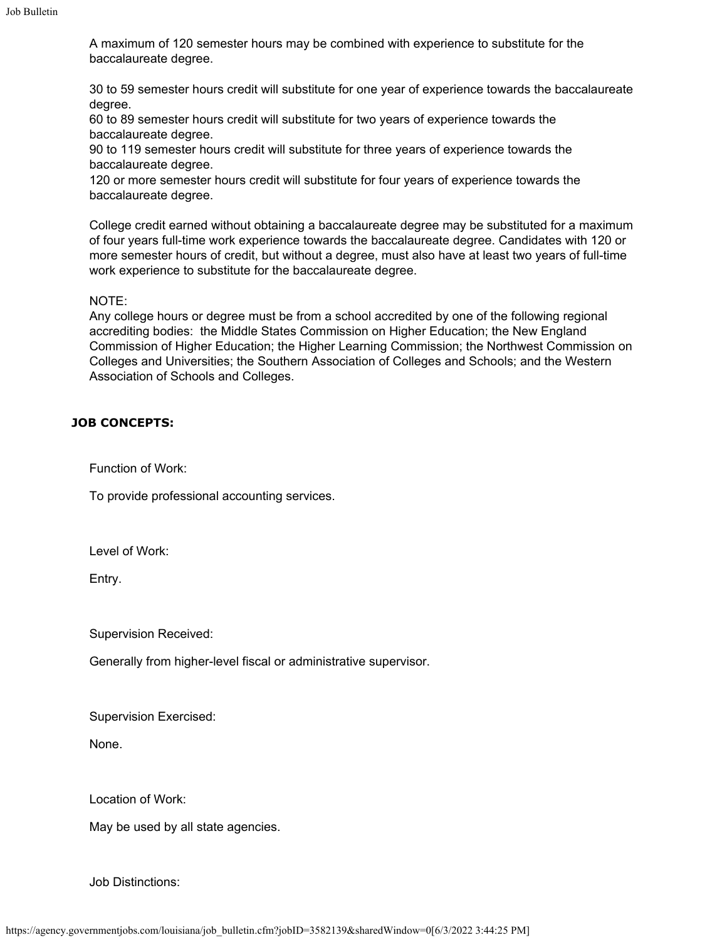A maximum of 120 semester hours may be combined with experience to substitute for the baccalaureate degree.

30 to 59 semester hours credit will substitute for one year of experience towards the baccalaureate degree.

60 to 89 semester hours credit will substitute for two years of experience towards the baccalaureate degree.

90 to 119 semester hours credit will substitute for three years of experience towards the baccalaureate degree.

120 or more semester hours credit will substitute for four years of experience towards the baccalaureate degree.

College credit earned without obtaining a baccalaureate degree may be substituted for a maximum of four years full-time work experience towards the baccalaureate degree. Candidates with 120 or more semester hours of credit, but without a degree, must also have at least two years of full-time work experience to substitute for the baccalaureate degree.

### NOTE:

Any college hours or degree must be from a school accredited by one of the following regional accrediting bodies: the Middle States Commission on Higher Education; the New England Commission of Higher Education; the Higher Learning Commission; the Northwest Commission on Colleges and Universities; the Southern Association of Colleges and Schools; and the Western Association of Schools and Colleges.

## **JOB CONCEPTS:**

Function of Work:

To provide professional accounting services.

Level of Work:

Entry.

Supervision Received:

Generally from higher-level fiscal or administrative supervisor.

Supervision Exercised:

None.

Location of Work:

May be used by all state agencies.

Job Distinctions: